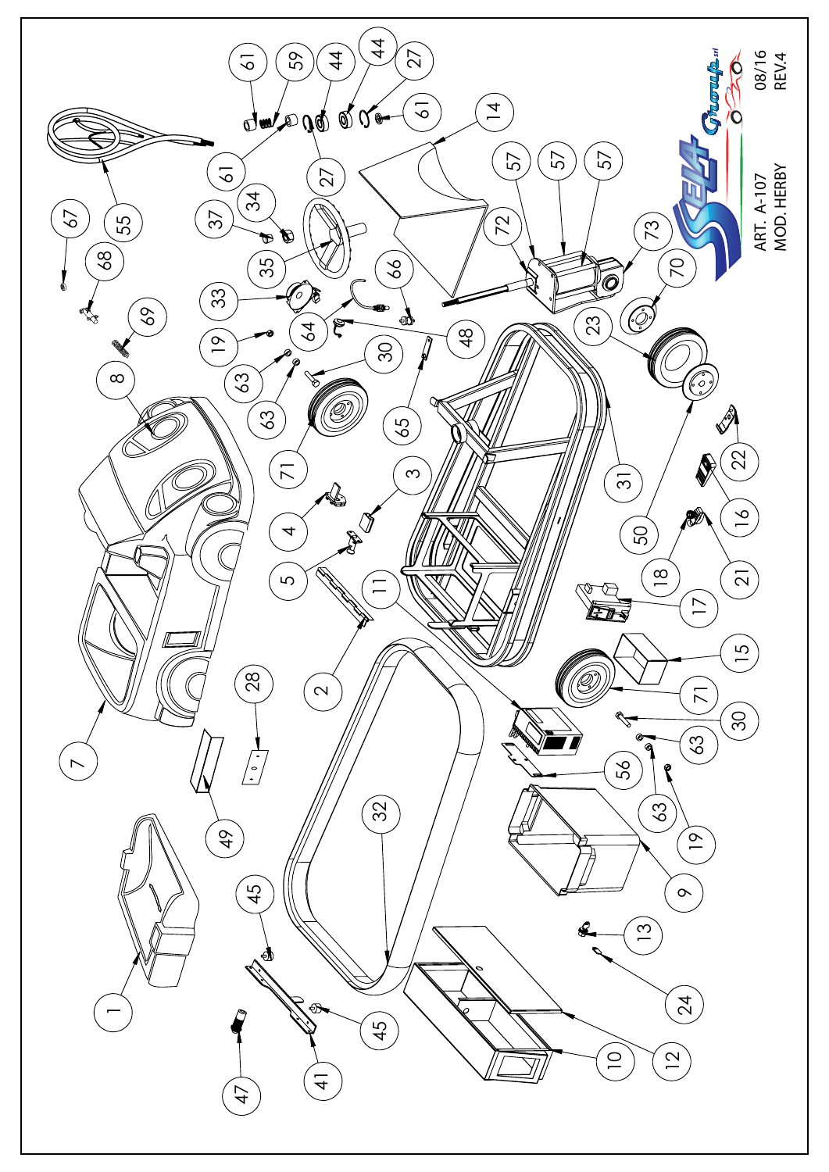